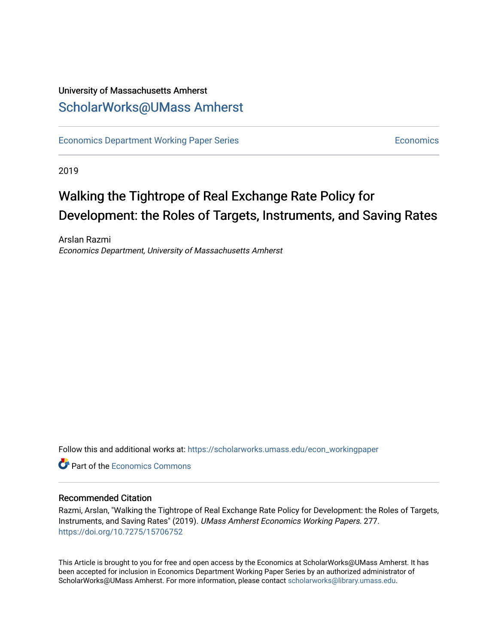## University of Massachusetts Amherst [ScholarWorks@UMass Amherst](https://scholarworks.umass.edu/)

[Economics Department Working Paper Series](https://scholarworks.umass.edu/econ_workingpaper) **Economics** [Economics](https://scholarworks.umass.edu/economics) Economics

2019

# Walking the Tightrope of Real Exchange Rate Policy for Development: the Roles of Targets, Instruments, and Saving Rates

Arslan Razmi Economics Department, University of Massachusetts Amherst

Follow this and additional works at: [https://scholarworks.umass.edu/econ\\_workingpaper](https://scholarworks.umass.edu/econ_workingpaper?utm_source=scholarworks.umass.edu%2Fecon_workingpaper%2F277&utm_medium=PDF&utm_campaign=PDFCoverPages) 

**C**<sup> $\bullet$ </sup> Part of the [Economics Commons](http://network.bepress.com/hgg/discipline/340?utm_source=scholarworks.umass.edu%2Fecon_workingpaper%2F277&utm_medium=PDF&utm_campaign=PDFCoverPages)

## Recommended Citation

Razmi, Arslan, "Walking the Tightrope of Real Exchange Rate Policy for Development: the Roles of Targets, Instruments, and Saving Rates" (2019). UMass Amherst Economics Working Papers. 277. <https://doi.org/10.7275/15706752>

This Article is brought to you for free and open access by the Economics at ScholarWorks@UMass Amherst. It has been accepted for inclusion in Economics Department Working Paper Series by an authorized administrator of ScholarWorks@UMass Amherst. For more information, please contact [scholarworks@library.umass.edu.](mailto:scholarworks@library.umass.edu)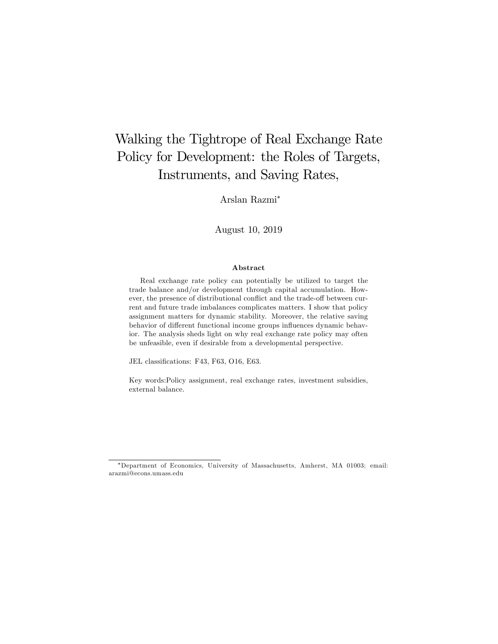## Walking the Tightrope of Real Exchange Rate Policy for Development: the Roles of Targets, Instruments, and Saving Rates,

Arslan Razmi

August 10, 2019

#### Abstract

Real exchange rate policy can potentially be utilized to target the trade balance and/or development through capital accumulation. However, the presence of distributional conflict and the trade-off between current and future trade imbalances complicates matters. I show that policy assignment matters for dynamic stability. Moreover, the relative saving behavior of different functional income groups influences dynamic behavior. The analysis sheds light on why real exchange rate policy may often be unfeasible, even if desirable from a developmental perspective.

JEL classifications: F43, F63, O16, E63.

Key words:Policy assignment, real exchange rates, investment subsidies, external balance.

Department of Economics, University of Massachusetts, Amherst, MA 01003; email: arazmi@econs.umass.edu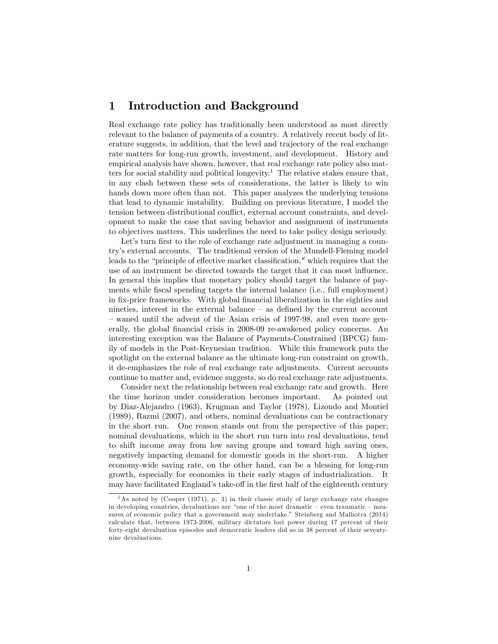## 1 Introduction and Background

Real exchange rate policy has traditionally been understood as most directly relevant to the balance of payments of a country. A relatively recent body of literature suggests, in addition, that the level and trajectory of the real exchange rate matters for long-run growth, investment, and development. History and empirical analysis have shown, however, that real exchange rate policy also matters for social stability and political longevity.<sup>1</sup> The relative stakes ensure that, in any clash between these sets of considerations, the latter is likely to win hands down more often than not. This paper analyzes the underlying tensions that lead to dynamic instability. Building on previous literature, I model the tension between distributional conflict, external account constraints, and development to make the case that saving behavior and assignment of instruments to objectives matters. This underlines the need to take policy design seriously.

Let's turn first to the role of exchange rate adjustment in managing a countryís external accounts. The traditional version of the Mundell-Fleming model leads to the "principle of effective market classification," which requires that the use of an instrument be directed towards the target that it can most ináuence. In general this implies that monetary policy should target the balance of payments while fiscal spending targets the internal balance (i.e., full employment) in fix-price frameworks. With global financial liberalization in the eighties and nineties, interest in the external balance  $-$  as defined by the current account – waned until the advent of the Asian crisis of 1997-98, and even more generally, the global financial crisis in 2008-09 re-awakened policy concerns. An interesting exception was the Balance of Payments-Constrained (BPCG) family of models in the Post-Keynesian tradition. While this framework puts the spotlight on the external balance as the ultimate long-run constraint on growth, it de-emphasizes the role of real exchange rate adjustments. Current accounts continue to matter and, evidence suggests, so do real exchange rate adjustments.

Consider next the relationship between real exchange rate and growth. Here the time horizon under consideration becomes important. As pointed out by Diaz-Alejandro (1963), Krugman and Taylor (1978), Lizondo and Montiel (1989), Razmi (2007), and others, nominal devaluations can be contractionary in the short run. One reason stands out from the perspective of this paper; nominal devaluations, which in the short run turn into real devaluations, tend to shift income away from low saving groups and toward high saving ones, negatively impacting demand for domestic goods in the short-run. A higher economy-wide saving rate, on the other hand, can be a blessing for long-run growth, especially for economies in their early stages of industrialization. It may have facilitated England's take-off in the first half of the eighteenth century

<sup>1</sup>As noted by (Cooper (1971), p. 3) in their classic study of large exchange rate changes in developing countries, devaluations are "one of the most dramatic  $-$  even traumatic  $-$  measures of economic policy that a government may undertake." Steinberg and Malhotra (2014) calculate that, between 1973-2006, military dictators lost power during 17 percent of their forty-eight devaluation episodes and democratic leaders did so in 38 percent of their seventynine devaluations.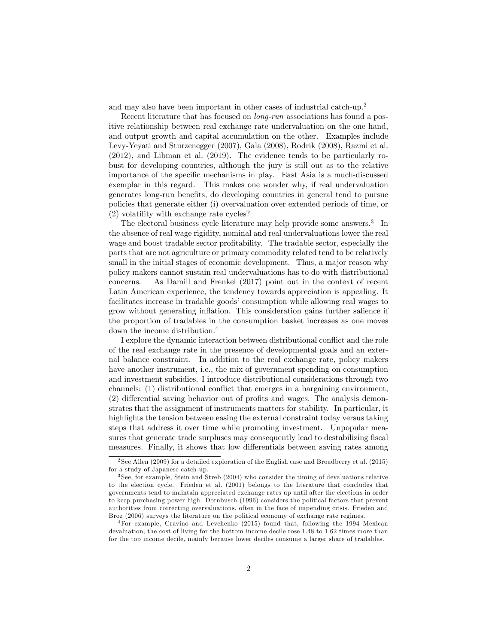and may also have been important in other cases of industrial catch-up.<sup>2</sup>

Recent literature that has focused on long-run associations has found a positive relationship between real exchange rate undervaluation on the one hand, and output growth and capital accumulation on the other. Examples include Levy-Yeyati and Sturzenegger (2007), Gala (2008), Rodrik (2008), Razmi et al. (2012), and Libman et al. (2019). The evidence tends to be particularly robust for developing countries, although the jury is still out as to the relative importance of the specific mechanisms in play. East Asia is a much-discussed exemplar in this regard. This makes one wonder why, if real undervaluation generates long-run beneÖts, do developing countries in general tend to pursue policies that generate either (i) overvaluation over extended periods of time, or (2) volatility with exchange rate cycles?

The electoral business cycle literature may help provide some answers.<sup>3</sup> In the absence of real wage rigidity, nominal and real undervaluations lower the real wage and boost tradable sector profitability. The tradable sector, especially the parts that are not agriculture or primary commodity related tend to be relatively small in the initial stages of economic development. Thus, a major reason why policy makers cannot sustain real undervaluations has to do with distributional concerns. As Damill and Frenkel (2017) point out in the context of recent Latin American experience, the tendency towards appreciation is appealing. It facilitates increase in tradable goods' consumption while allowing real wages to grow without generating ináation. This consideration gains further salience if the proportion of tradables in the consumption basket increases as one moves down the income distribution.<sup>4</sup>

I explore the dynamic interaction between distributional conflict and the role of the real exchange rate in the presence of developmental goals and an external balance constraint. In addition to the real exchange rate, policy makers have another instrument, i.e., the mix of government spending on consumption and investment subsidies. I introduce distributional considerations through two channels: (1) distributional conflict that emerges in a bargaining environment,  $(2)$  differential saving behavior out of profits and wages. The analysis demonstrates that the assignment of instruments matters for stability. In particular, it highlights the tension between easing the external constraint today versus taking steps that address it over time while promoting investment. Unpopular measures that generate trade surpluses may consequently lead to destabilizing fiscal measures. Finally, it shows that low differentials between saving rates among

<sup>&</sup>lt;sup>2</sup> See Allen (2009) for a detailed exploration of the English case and Broadberry et al. (2015) for a study of Japanese catch-up.

<sup>3</sup> See, for example, Stein and Streb (2004) who consider the timing of devaluations relative to the election cycle. Frieden et al. (2001) belongs to the literature that concludes that governments tend to maintain appreciated exchange rates up until after the elections in order to keep purchasing power high. Dornbusch (1996) considers the political factors that prevent authorities from correcting overvaluations, often in the face of impending crisis. Frieden and Broz (2006) surveys the literature on the political economy of exchange rate regimes.

<sup>4</sup>For example, Cravino and Levchenko (2015) found that, following the 1994 Mexican devaluation, the cost of living for the bottom income decile rose 1.48 to 1.62 times more than for the top income decile, mainly because lower deciles consume a larger share of tradables.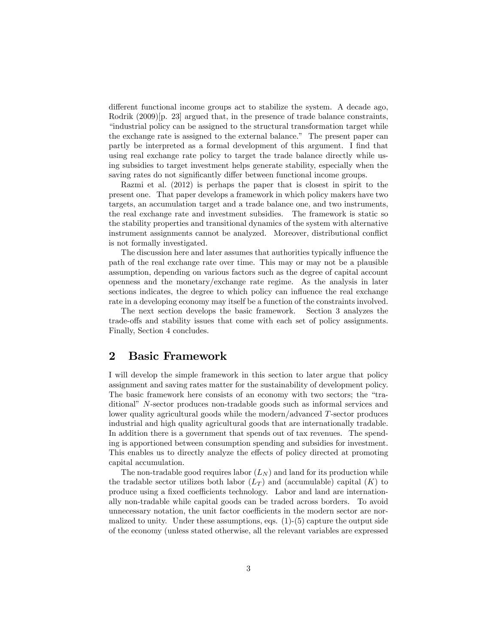different functional income groups act to stabilize the system. A decade ago, Rodrik (2009)<sup>[p. 23]</sup> argued that, in the presence of trade balance constraints, ìindustrial policy can be assigned to the structural transformation target while the exchange rate is assigned to the external balance." The present paper can partly be interpreted as a formal development of this argument. I find that using real exchange rate policy to target the trade balance directly while using subsidies to target investment helps generate stability, especially when the saving rates do not significantly differ between functional income groups.

Razmi et al. (2012) is perhaps the paper that is closest in spirit to the present one. That paper develops a framework in which policy makers have two targets, an accumulation target and a trade balance one, and two instruments, the real exchange rate and investment subsidies. The framework is static so the stability properties and transitional dynamics of the system with alternative instrument assignments cannot be analyzed. Moreover, distributional conflict is not formally investigated.

The discussion here and later assumes that authorities typically influence the path of the real exchange rate over time. This may or may not be a plausible assumption, depending on various factors such as the degree of capital account openness and the monetary/exchange rate regime. As the analysis in later sections indicates, the degree to which policy can influence the real exchange rate in a developing economy may itself be a function of the constraints involved.

The next section develops the basic framework. Section 3 analyzes the trade-offs and stability issues that come with each set of policy assignments. Finally, Section 4 concludes.

## 2 Basic Framework

I will develop the simple framework in this section to later argue that policy assignment and saving rates matter for the sustainability of development policy. The basic framework here consists of an economy with two sectors; the "traditionalî N-sector produces non-tradable goods such as informal services and lower quality agricultural goods while the modern/advanced T-sector produces industrial and high quality agricultural goods that are internationally tradable. In addition there is a government that spends out of tax revenues. The spending is apportioned between consumption spending and subsidies for investment. This enables us to directly analyze the effects of policy directed at promoting capital accumulation.

The non-tradable good requires labor  $(L_N)$  and land for its production while the tradable sector utilizes both labor  $(L_T)$  and (accumulable) capital  $(K)$  to produce using a fixed coefficients technology. Labor and land are internationally non-tradable while capital goods can be traded across borders. To avoid unnecessary notation, the unit factor coefficients in the modern sector are normalized to unity. Under these assumptions, eqs.  $(1)-(5)$  capture the output side of the economy (unless stated otherwise, all the relevant variables are expressed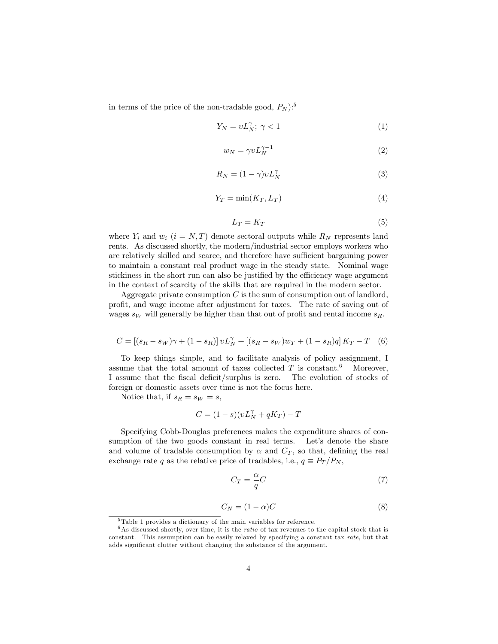in terms of the price of the non-tradable good,  $P_N$ ):<sup>5</sup>

$$
Y_N = v L_N^{\gamma}; \ \gamma < 1 \tag{1}
$$

$$
w_N = \gamma v L_N^{\gamma - 1} \tag{2}
$$

$$
R_N = (1 - \gamma)vL_N^{\gamma}
$$
 (3)

$$
Y_T = \min(K_T, L_T) \tag{4}
$$

$$
L_T = K_T \tag{5}
$$

where  $Y_i$  and  $w_i$   $(i = N, T)$  denote sectoral outputs while  $R_N$  represents land rents. As discussed shortly, the modern/industrial sector employs workers who are relatively skilled and scarce, and therefore have sufficient bargaining power to maintain a constant real product wage in the steady state. Nominal wage stickiness in the short run can also be justified by the efficiency wage argument in the context of scarcity of the skills that are required in the modern sector.

Aggregate private consumption  $C$  is the sum of consumption out of landlord, profit, and wage income after adjustment for taxes. The rate of saving out of wages  $s_W$  will generally be higher than that out of profit and rental income  $s_R$ .

$$
C = [(s_R - s_W)\gamma + (1 - s_R)]vL_N^{\gamma} + [(s_R - s_W)w_T + (1 - s_R)q]K_T - T
$$
 (6)

To keep things simple, and to facilitate analysis of policy assignment, I assume that the total amount of taxes collected  $T$  is constant.<sup>6</sup> Moreover, I assume that the fiscal deficit/surplus is zero. The evolution of stocks of foreign or domestic assets over time is not the focus here.

Notice that, if  $s_R = s_W = s$ ,

$$
C = (1 - s)(vL_N^{\gamma} + qK_T) - T
$$

Specifying Cobb-Douglas preferences makes the expenditure shares of consumption of the two goods constant in real terms. Let's denote the share and volume of tradable consumption by  $\alpha$  and  $C_T$ , so that, defining the real exchange rate q as the relative price of tradables, i.e.,  $q \equiv P_T/P_N$ ,

$$
C_T = \frac{\alpha}{q}C\tag{7}
$$

$$
C_N = (1 - \alpha)C \tag{8}
$$

<sup>5</sup> Table 1 provides a dictionary of the main variables for reference.

 $6$ As discussed shortly, over time, it is the *ratio* of tax revenues to the capital stock that is constant. This assumption can be easily relaxed by specifying a constant tax rate, but that adds significant clutter without changing the substance of the argument.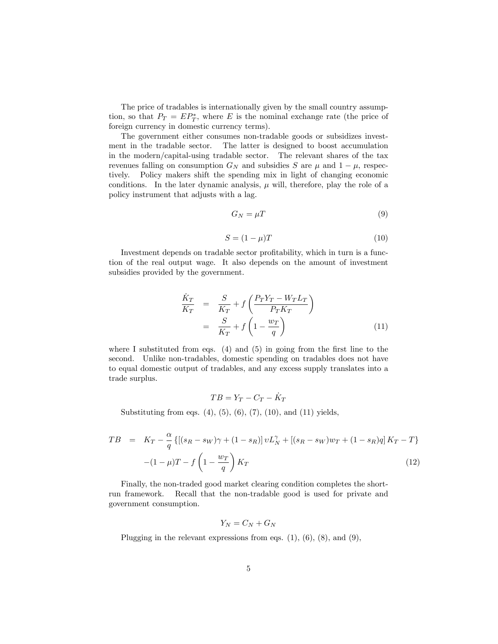The price of tradables is internationally given by the small country assumption, so that  $P_T = E P_T^*$ , where E is the nominal exchange rate (the price of foreign currency in domestic currency terms).

The government either consumes non-tradable goods or subsidizes investment in the tradable sector. The latter is designed to boost accumulation in the modern/capital-using tradable sector. The relevant shares of the tax revenues falling on consumption  $G_N$  and subsidies S are  $\mu$  and  $1 - \mu$ , respectively. Policy makers shift the spending mix in light of changing economic conditions. In the later dynamic analysis,  $\mu$  will, therefore, play the role of a policy instrument that adjusts with a lag.

$$
G_N = \mu T \tag{9}
$$

$$
S = (1 - \mu)T\tag{10}
$$

Investment depends on tradable sector profitability, which in turn is a function of the real output wage. It also depends on the amount of investment subsidies provided by the government.

$$
\begin{aligned}\n\frac{\dot{K}_T}{K_T} &= \frac{S}{K_T} + f\left(\frac{P_T Y_T - W_T L_T}{P_T K_T}\right) \\
&= \frac{S}{K_T} + f\left(1 - \frac{w_T}{q}\right)\n\end{aligned} \tag{11}
$$

where I substituted from eqs.  $(4)$  and  $(5)$  in going from the first line to the second. Unlike non-tradables, domestic spending on tradables does not have to equal domestic output of tradables, and any excess supply translates into a trade surplus.

$$
TB=Y_T-C_T-\dot{K}_T
$$

Substituting from eqs.  $(4)$ ,  $(5)$ ,  $(6)$ ,  $(7)$ ,  $(10)$ , and  $(11)$  yields,

$$
TB = K_T - \frac{\alpha}{q} \{ [(s_R - s_W)\gamma + (1 - s_R)] v L_N^{\gamma} + [(s_R - s_W) w_T + (1 - s_R) q] K_T - T \}
$$

$$
- (1 - \mu)T - f \left( 1 - \frac{w_T}{q} \right) K_T
$$
(12)

Finally, the non-traded good market clearing condition completes the shortrun framework. Recall that the non-tradable good is used for private and government consumption.

$$
Y_N = C_N + G_N
$$

Plugging in the relevant expressions from eqs.  $(1)$ ,  $(6)$ ,  $(8)$ , and  $(9)$ ,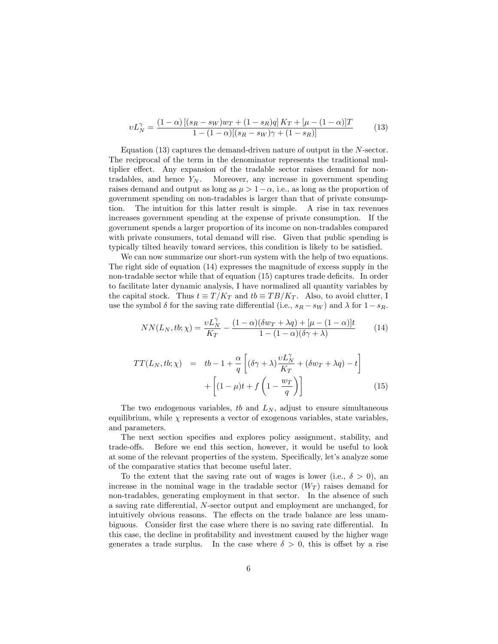$$
vL_N^{\gamma} = \frac{(1-\alpha)\left[ (s_R - s_W)w_T + (1 - s_R)q \right] K_T + [\mu - (1 - \alpha)]T}{1 - (1 - \alpha)\left[ (s_R - s_W)\gamma + (1 - s_R) \right]}
$$
(13)

Equation (13) captures the demand-driven nature of output in the N-sector. The reciprocal of the term in the denominator represents the traditional multiplier effect. Any expansion of the tradable sector raises demand for nontradables, and hence  $Y_N$ . Moreover, any increase in government spending raises demand and output as long as  $\mu > 1-\alpha$ , i.e., as long as the proportion of government spending on non-tradables is larger than that of private consumption. The intuition for this latter result is simple. A rise in tax revenues increases government spending at the expense of private consumption. If the government spends a larger proportion of its income on non-tradables compared with private consumers, total demand will rise. Given that public spending is typically tilted heavily toward services, this condition is likely to be satisfied.

We can now summarize our short-run system with the help of two equations. The right side of equation (14) expresses the magnitude of excess supply in the non-tradable sector while that of equation  $(15)$  captures trade deficits. In order to facilitate later dynamic analysis, I have normalized all quantity variables by the capital stock. Thus  $t \equiv T/K_T$  and  $tb \equiv TB/K_T$ . Also, to avoid clutter, I use the symbol  $\delta$  for the saving rate differential (i.e.,  $s_R - s_W$ ) and  $\lambda$  for  $1 - s_R$ .

$$
NN(L_N, tb; \chi) = \frac{\nu L_N^{\gamma}}{K_T} - \frac{(1 - \alpha)(\delta w_T + \lambda q) + [\mu - (1 - \alpha)]t}{1 - (1 - \alpha)(\delta \gamma + \lambda)}
$$
(14)

$$
TT(L_N, tb; \chi) = tb - 1 + \frac{\alpha}{q} \left[ (\delta \gamma + \lambda) \frac{vL_N^{\gamma}}{K_T} + (\delta w_T + \lambda q) - t \right] + \left[ (1 - \mu)t + f\left(1 - \frac{w_T}{q}\right) \right]
$$
(15)

The two endogenous variables, to and  $L_N$ , adjust to ensure simultaneous equilibrium, while  $\chi$  represents a vector of exogenous variables, state variables, and parameters.

The next section specifies and explores policy assignment, stability, and trade-offs. Before we end this section, however, it would be useful to look at some of the relevant properties of the system. Specifically, let's analyze some of the comparative statics that become useful later.

To the extent that the saving rate out of wages is lower (i.e.,  $\delta > 0$ ), an increase in the nominal wage in the tradable sector  $(W_T)$  raises demand for non-tradables, generating employment in that sector. In the absence of such a saving rate differential,  $N$ -sector output and employment are unchanged, for intuitively obvious reasons. The effects on the trade balance are less unambiguous. Consider first the case where there is no saving rate differential. In this case, the decline in profitability and investment caused by the higher wage generates a trade surplus. In the case where  $\delta > 0$ , this is offset by a rise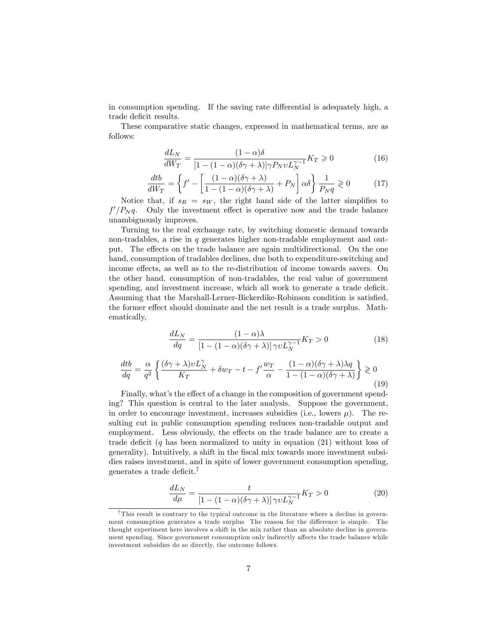in consumption spending. If the saving rate differential is adequately high, a trade deficit results.

These comparative static changes, expressed in mathematical terms, are as follows:

$$
\frac{dL_N}{dW_T} = \frac{(1-\alpha)\delta}{[1-(1-\alpha)(\delta\gamma+\lambda)]\gamma P_N v L_N^{\gamma-1}} K_T \ge 0
$$
\n(16)

$$
\frac{dtb}{dW_T} = \left\{ f' - \left[ \frac{(1-\alpha)(\delta \gamma + \lambda)}{1 - (1-\alpha)(\delta \gamma + \lambda)} + P_N \right] \alpha \delta \right\} \frac{1}{P_N q} \ge 0 \tag{17}
$$

Notice that, if  $s_R = s_W$ , the right hand side of the latter simplifies to  $f'/P_N q$ . Only the investment effect is operative now and the trade balance unambiguously improves.

Turning to the real exchange rate, by switching domestic demand towards non-tradables, a rise in  $q$  generates higher non-tradable employment and output. The effects on the trade balance are again multidirectional. On the one hand, consumption of tradables declines, due both to expenditure-switching and income effects, as well as to the re-distribution of income towards savers. On the other hand, consumption of non-tradables, the real value of government spending, and investment increase, which all work to generate a trade deficit. Assuming that the Marshall-Lerner-Bickerdike-Robinson condition is satisfied, the former effect should dominate and the net result is a trade surplus. Mathematically,

$$
\frac{dL_N}{dq} = \frac{(1-\alpha)\lambda}{[1-(1-\alpha)(\delta\gamma+\lambda)]\,\gamma\upsilon L_N^{\gamma-1}}K_T > 0\tag{18}
$$

$$
\frac{dtb}{dq} = \frac{\alpha}{q^2} \left\{ \frac{(\delta \gamma + \lambda)vL_N^{\gamma}}{K_T} + \delta w_T - t - f' \frac{w_T}{\alpha} - \frac{(1 - \alpha)(\delta \gamma + \lambda)\lambda q}{1 - (1 - \alpha)(\delta \gamma + \lambda)} \right\} \ge 0
$$
\n(19)

Finally, what's the effect of a change in the composition of government spending? This question is central to the later analysis. Suppose the government, in order to encourage investment, increases subsidies (i.e., lowers  $\mu$ ). The resulting cut in public consumption spending reduces non-tradable output and employment. Less obviously, the effects on the trade balance are to create a trade deficit  $(q$  has been normalized to unity in equation  $(21)$  without loss of generality). Intuitively, a shift in the fiscal mix towards more investment subsidies raises investment, and in spite of lower government consumption spending, generates a trade deficit.

$$
\frac{dL_N}{d\mu} = \frac{t}{\left[1 - (1 - \alpha)(\delta \gamma + \lambda)\right] \gamma v L_N^{\gamma - 1}} K_T > 0 \tag{20}
$$

<sup>7</sup> This result is contrary to the typical outcome in the literature where a decline in government consumption generates a trade surplus The reason for the difference is simple. The thought experiment here involves a shift in the mix rather than an absolute decline in government spending. Since government consumption only indirectly affects the trade balance while investment subsidies do so directly, the outcome follows.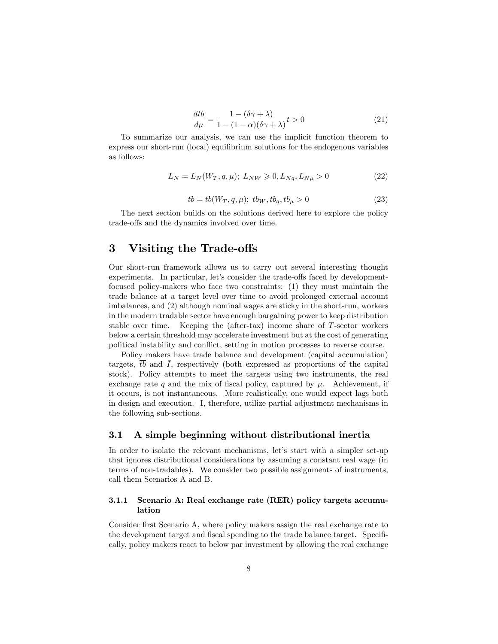$$
\frac{dtb}{d\mu} = \frac{1 - (\delta\gamma + \lambda)}{1 - (1 - \alpha)(\delta\gamma + \lambda)}t > 0
$$
\n(21)

To summarize our analysis, we can use the implicit function theorem to express our short-run (local) equilibrium solutions for the endogenous variables as follows:

$$
L_N = L_N(W_T, q, \mu); L_{NW} \geq 0, L_{Nq}, L_{N\mu} > 0
$$
\n(22)

$$
tb = tb(W_T, q, \mu); \; tb_W, tb_q, tb_{\mu} > 0 \tag{23}
$$

The next section builds on the solutions derived here to explore the policy trade-offs and the dynamics involved over time.

## 3 Visiting the Trade-offs

Our short-run framework allows us to carry out several interesting thought experiments. In particular, let's consider the trade-offs faced by developmentfocused policy-makers who face two constraints: (1) they must maintain the trade balance at a target level over time to avoid prolonged external account imbalances, and (2) although nominal wages are sticky in the short-run, workers in the modern tradable sector have enough bargaining power to keep distribution stable over time. Keeping the (after-tax) income share of T-sector workers below a certain threshold may accelerate investment but at the cost of generating political instability and conflict, setting in motion processes to reverse course.

Policy makers have trade balance and development (capital accumulation) targets,  $tb$  and  $\overline{I}$ , respectively (both expressed as proportions of the capital stock). Policy attempts to meet the targets using two instruments, the real exchange rate q and the mix of fiscal policy, captured by  $\mu$ . Achievement, if it occurs, is not instantaneous. More realistically, one would expect lags both in design and execution. I, therefore, utilize partial adjustment mechanisms in the following sub-sections.

#### 3.1 A simple beginning without distributional inertia

In order to isolate the relevant mechanisms, let's start with a simpler set-up that ignores distributional considerations by assuming a constant real wage (in terms of non-tradables). We consider two possible assignments of instruments, call them Scenarios A and B.

#### 3.1.1 Scenario A: Real exchange rate (RER) policy targets accumulation

Consider first Scenario A, where policy makers assign the real exchange rate to the development target and fiscal spending to the trade balance target. Specifically, policy makers react to below par investment by allowing the real exchange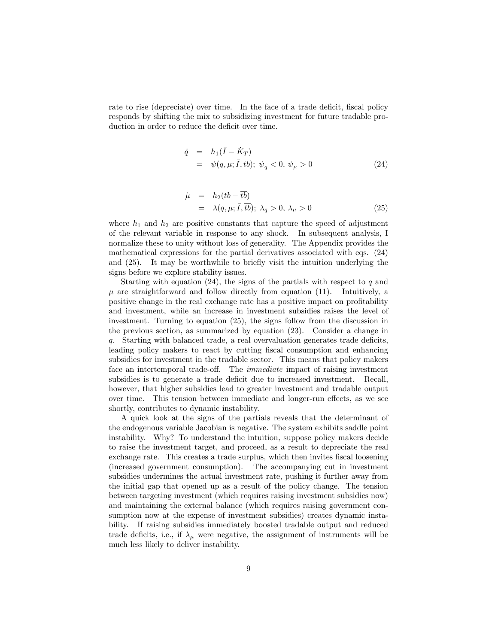rate to rise (depreciate) over time. In the face of a trade deficit, fiscal policy responds by shifting the mix to subsidizing investment for future tradable production in order to reduce the deficit over time.

$$
\dot{q} = h_1(\bar{I} - \dot{K}_T) \n= \psi(q, \mu; \bar{I}, \bar{t}\bar{b}); \ \psi_q < 0, \ \psi_\mu > 0
$$
\n(24)

$$
\dot{\mu} = h_2(tb - \overline{tb}) \n= \lambda(q, \mu; \overline{I}, \overline{tb}); \lambda_q > 0, \lambda_\mu > 0
$$
\n(25)

where  $h_1$  and  $h_2$  are positive constants that capture the speed of adjustment of the relevant variable in response to any shock. In subsequent analysis, I normalize these to unity without loss of generality. The Appendix provides the mathematical expressions for the partial derivatives associated with eqs. (24) and  $(25)$ . It may be worthwhile to briefly visit the intuition underlying the signs before we explore stability issues.

Starting with equation  $(24)$ , the signs of the partials with respect to q and  $\mu$  are straightforward and follow directly from equation (11). Intuitively, a positive change in the real exchange rate has a positive impact on profitability and investment, while an increase in investment subsidies raises the level of investment. Turning to equation (25), the signs follow from the discussion in the previous section, as summarized by equation (23). Consider a change in  $q.$  Starting with balanced trade, a real overvaluation generates trade deficits, leading policy makers to react by cutting fiscal consumption and enhancing subsidies for investment in the tradable sector. This means that policy makers face an intertemporal trade-off. The *immediate* impact of raising investment subsidies is to generate a trade deficit due to increased investment. Recall, however, that higher subsidies lead to greater investment and tradable output over time. This tension between immediate and longer-run effects, as we see shortly, contributes to dynamic instability.

A quick look at the signs of the partials reveals that the determinant of the endogenous variable Jacobian is negative. The system exhibits saddle point instability. Why? To understand the intuition, suppose policy makers decide to raise the investment target, and proceed, as a result to depreciate the real exchange rate. This creates a trade surplus, which then invites fiscal loosening (increased government consumption). The accompanying cut in investment subsidies undermines the actual investment rate, pushing it further away from the initial gap that opened up as a result of the policy change. The tension between targeting investment (which requires raising investment subsidies now) and maintaining the external balance (which requires raising government consumption now at the expense of investment subsidies) creates dynamic instability. If raising subsidies immediately boosted tradable output and reduced trade deficits, i.e., if  $\lambda_{\mu}$  were negative, the assignment of instruments will be much less likely to deliver instability.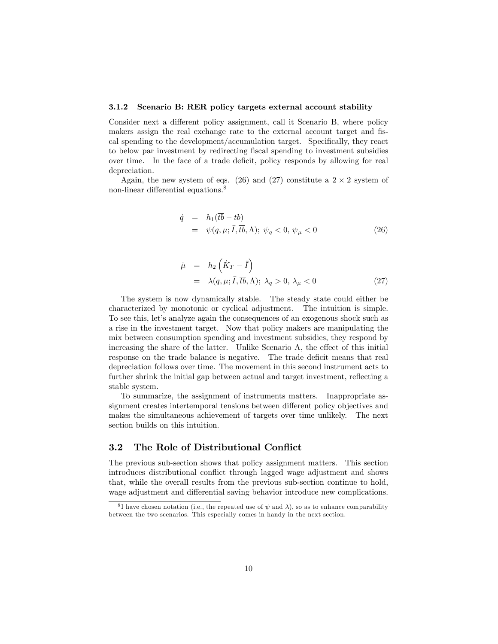#### 3.1.2 Scenario B: RER policy targets external account stability

Consider next a different policy assignment, call it Scenario B, where policy makers assign the real exchange rate to the external account target and fiscal spending to the development/accumulation target. Specifically, they react to below par investment by redirecting fiscal spending to investment subsidies over time. In the face of a trade deficit, policy responds by allowing for real depreciation.

Again, the new system of eqs. (26) and (27) constitute a  $2 \times 2$  system of non-linear differential equations.<sup>8</sup>

$$
\dot{q} = h_1(\overline{tb} - tb)
$$
  
=  $\psi(q, \mu; \overline{I}, \overline{tb}, \Lambda); \ \psi_q < 0, \ \psi_\mu < 0$  (26)

$$
\dot{\mu} = h_2 \left( \dot{K}_T - \bar{I} \right)
$$
  
=  $\lambda(q, \mu; \bar{I}, \bar{t}\bar{b}, \Lambda); \ \lambda_q > 0, \ \lambda_\mu < 0$  (27)

The system is now dynamically stable. The steady state could either be characterized by monotonic or cyclical adjustment. The intuition is simple. To see this, let's analyze again the consequences of an exogenous shock such as a rise in the investment target. Now that policy makers are manipulating the mix between consumption spending and investment subsidies, they respond by increasing the share of the latter. Unlike Scenario A, the effect of this initial response on the trade balance is negative. The trade deficit means that real depreciation follows over time. The movement in this second instrument acts to further shrink the initial gap between actual and target investment, reflecting a stable system.

To summarize, the assignment of instruments matters. Inappropriate assignment creates intertemporal tensions between different policy objectives and makes the simultaneous achievement of targets over time unlikely. The next section builds on this intuition.

#### 3.2 The Role of Distributional Conflict

The previous sub-section shows that policy assignment matters. This section introduces distributional conflict through lagged wage adjustment and shows that, while the overall results from the previous sub-section continue to hold, wage adjustment and differential saving behavior introduce new complications.

<sup>&</sup>lt;sup>8</sup>I have chosen notation (i.e., the repeated use of  $\psi$  and  $\lambda$ ), so as to enhance comparability between the two scenarios. This especially comes in handy in the next section.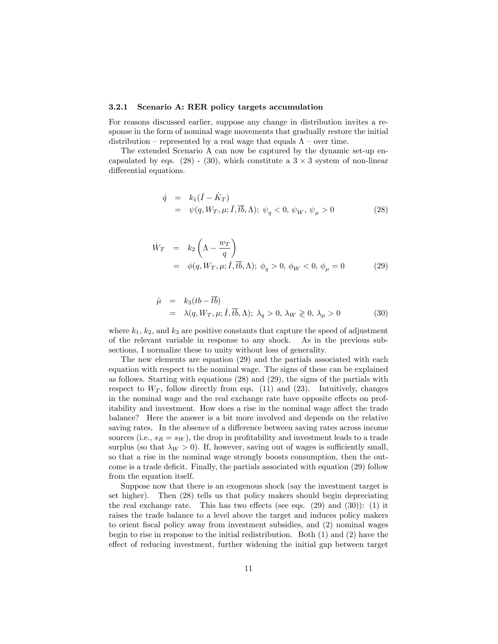#### 3.2.1 Scenario A: RER policy targets accumulation

For reasons discussed earlier, suppose any change in distribution invites a response in the form of nominal wage movements that gradually restore the initial distribution – represented by a real wage that equals  $\Lambda$  – over time.

The extended Scenario A can now be captured by the dynamic set-up encapsulated by eqs.  $(28) - (30)$ , which constitute a  $3 \times 3$  system of non-linear differential equations.

$$
\dot{q} = k_1(\bar{I} - \dot{K}_T) \n= \psi(q, W_T, \mu; \bar{I}, \bar{t}\bar{b}, \Lambda); \ \psi_q < 0, \ \psi_W, \ \psi_\mu > 0
$$
\n(28)

$$
\dot{W}_T = k_2 \left( \Lambda - \frac{w_T}{q} \right)
$$
  
=  $\phi(q, W_T, \mu; \bar{I}, \bar{t}b, \Lambda); \ \phi_q > 0, \ \phi_W < 0, \ \phi_\mu = 0$  (29)

$$
\dot{\mu} = k_3(tb - \overline{tb}) \n= \lambda(q, W_T, \mu; \overline{I}, \overline{tb}, \Lambda); \lambda_q > 0, \lambda_W \ge 0, \lambda_\mu > 0
$$
\n(30)

where  $k_1$ ,  $k_2$ , and  $k_3$  are positive constants that capture the speed of adjustment of the relevant variable in response to any shock. As in the previous subsections, I normalize these to unity without loss of generality.

The new elements are equation (29) and the partials associated with each equation with respect to the nominal wage. The signs of these can be explained as follows. Starting with equations (28) and (29), the signs of the partials with respect to  $W_T$ , follow directly from eqs. (11) and (23). Intuitively, changes in the nominal wage and the real exchange rate have opposite effects on profitability and investment. How does a rise in the nominal wage affect the trade balance? Here the answer is a bit more involved and depends on the relative saving rates. In the absence of a difference between saving rates across income sources (i.e.,  $s_R = s_W$ ), the drop in profitability and investment leads to a trade surplus (so that  $\lambda_W > 0$ ). If, however, saving out of wages is sufficiently small, so that a rise in the nominal wage strongly boosts consumption, then the outcome is a trade deficit. Finally, the partials associated with equation (29) follow from the equation itself.

Suppose now that there is an exogenous shock (say the investment target is set higher). Then (28) tells us that policy makers should begin depreciating the real exchange rate. This has two effects (see eqs.  $(29)$  and  $(30)$ ):  $(1)$  it raises the trade balance to a level above the target and induces policy makers to orient Öscal policy away from investment subsidies, and (2) nominal wages begin to rise in response to the initial redistribution. Both (1) and (2) have the effect of reducing investment, further widening the initial gap between target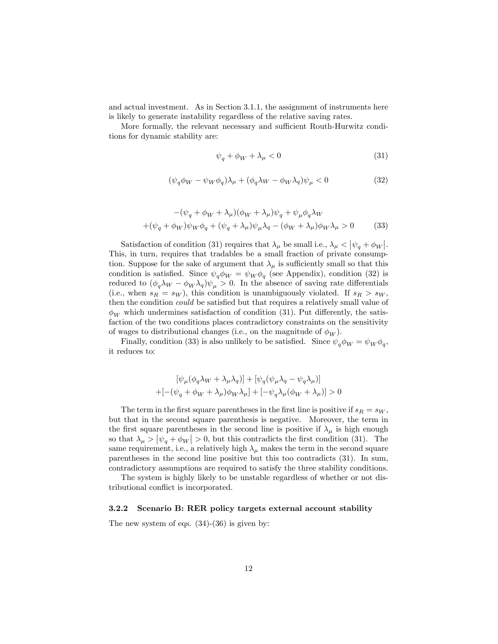and actual investment. As in Section 3.1.1, the assignment of instruments here is likely to generate instability regardless of the relative saving rates.

More formally, the relevant necessary and sufficient Routh-Hurwitz conditions for dynamic stability are:

$$
\psi_q + \phi_W + \lambda_\mu < 0 \tag{31}
$$

$$
(\psi_q \phi_W - \psi_W \phi_q) \lambda_\mu + (\phi_q \lambda_W - \phi_W \lambda_q) \psi_\mu < 0 \tag{32}
$$

$$
-(\psi_q + \phi_W + \lambda_\mu)(\phi_W + \lambda_\mu)\psi_q + \psi_\mu\phi_q\lambda_W
$$
  
+
$$
(\psi_q + \phi_W)\psi_W\phi_q + (\psi_q + \lambda_\mu)\psi_\mu\lambda_q - (\phi_W + \lambda_\mu)\phi_W\lambda_\mu > 0
$$
 (33)

Satisfaction of condition (31) requires that  $\lambda_{\mu}$  be small i.e.,  $\lambda_{\mu} < |\psi_{q} + \phi_{W}|$ . This, in turn, requires that tradables be a small fraction of private consumption. Suppose for the sake of argument that  $\lambda_{\mu}$  is sufficiently small so that this condition is satisfied. Since  $\psi_q \phi_W = \psi_W \phi_q$  (see Appendix), condition (32) is reduced to  $(\phi_q \lambda_W - \phi_W \lambda_q) \psi_\mu > 0$ . In the absence of saving rate differentials (i.e., when  $s_R = s_W$ ), this condition is unambiguously violated. If  $s_R > s_W$ , then the condition *could* be satisfied but that requires a relatively small value of  $\phi_W$  which undermines satisfaction of condition (31). Put differently, the satisfaction of the two conditions places contradictory constraints on the sensitivity of wages to distributional changes (i.e., on the magnitude of  $\phi_W$ ).

Finally, condition (33) is also unlikely to be satisfied. Since  $\psi_q \phi_W = \psi_W \phi_q$ , it reduces to:

$$
[\psi_{\mu}(\phi_{q}\lambda_{W}+\lambda_{\mu}\lambda_{q})]+[\psi_{q}(\psi_{\mu}\lambda_{q}-\psi_{q}\lambda_{\mu})]
$$

$$
+[-(\psi_{q}+\phi_{W}+\lambda_{\mu})\phi_{W}\lambda_{\mu}]+[-\psi_{q}\lambda_{\mu}(\phi_{W}+\lambda_{\mu})]>0
$$

The term in the first square parentheses in the first line is positive if  $s_R = s_W$ , but that in the second square parenthesis is negative. Moreover, the term in the first square parentheses in the second line is positive if  $\lambda_{\mu}$  is high enough so that  $\lambda_{\mu} > |\psi_q + \phi_W| > 0$ , but this contradicts the first condition (31). The same requirement, i.e., a relatively high  $\lambda_{\mu}$  makes the term in the second square parentheses in the second line positive but this too contradicts (31). In sum, contradictory assumptions are required to satisfy the three stability conditions.

The system is highly likely to be unstable regardless of whether or not distributional conflict is incorporated.

#### 3.2.2 Scenario B: RER policy targets external account stability

The new system of eqs.  $(34)-(36)$  is given by: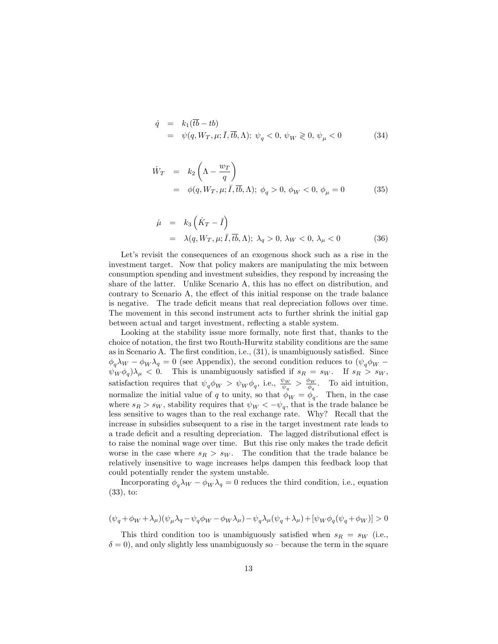$$
\dot{q} = k_1(\overline{tb} - tb) \n= \psi(q, W_T, \mu; \overline{I}, \overline{tb}, \Lambda); \ \psi_q < 0, \ \psi_W \geq 0, \ \psi_\mu < 0
$$
\n
$$
(34)
$$

$$
\dot{W}_T = k_2 \left( \Lambda - \frac{w_T}{q} \right)
$$
  
=  $\phi(q, W_T, \mu; \bar{I}, \bar{t}b, \Lambda); \ \phi_q > 0, \ \phi_W < 0, \ \phi_\mu = 0$  (35)

$$
\dot{\mu} = k_3 \left( \dot{K}_T - \bar{I} \right)
$$
  
=  $\lambda(q, W_T, \mu; \bar{I}, \bar{t}\bar{b}, \Lambda); \ \lambda_q > 0, \ \lambda_W < 0, \ \lambda_\mu < 0$  (36)

Let's revisit the consequences of an exogenous shock such as a rise in the investment target. Now that policy makers are manipulating the mix between consumption spending and investment subsidies, they respond by increasing the share of the latter. Unlike Scenario A, this has no effect on distribution, and contrary to Scenario A, the effect of this initial response on the trade balance is negative. The trade deficit means that real depreciation follows over time. The movement in this second instrument acts to further shrink the initial gap between actual and target investment, reflecting a stable system.

Looking at the stability issue more formally, note first that, thanks to the choice of notation, the Örst two Routh-Hurwitz stability conditions are the same as in Scenario A. The first condition, i.e.,  $(31)$ , is unambiguously satisfied. Since  $\phi_q \lambda_W - \phi_W \lambda_q = 0$  (see Appendix), the second condition reduces to  $(\psi_q \phi_W \psi_W \phi_q$ ) $\lambda_\mu$  < 0. This is unambiguously satisfied if  $s_R = s_W$ . If  $s_R > s_W$ , satisfaction requires that  $\psi_q \phi_W > \psi_W \phi_q$ , i.e.,  $\frac{\psi_W}{\psi_q} > \frac{\phi_W}{\phi_q}$  $\frac{\rho_W}{\phi_q}$ . To aid intuition, normalize the initial value of q to unity, so that  $\phi_W = \phi_q$ . Then, in the case where  $s_R > s_W$ , stability requires that  $\psi_W < -\psi_q$ , that is the trade balance be less sensitive to wages than to the real exchange rate. Why? Recall that the increase in subsidies subsequent to a rise in the target investment rate leads to a trade deficit and a resulting depreciation. The lagged distributional effect is to raise the nominal wage over time. But this rise only makes the trade deficit worse in the case where  $s_R > s_W$ . The condition that the trade balance be relatively insensitive to wage increases helps dampen this feedback loop that could potentially render the system unstable.

Incorporating  $\phi_q \lambda_W - \phi_W \lambda_q = 0$  reduces the third condition, i.e., equation (33), to:

$$
(\psi_q + \phi_W + \lambda_\mu)(\psi_\mu \lambda_q - \psi_q \phi_W - \phi_W \lambda_\mu) - \psi_q \lambda_\mu (\psi_q + \lambda_\mu) + [\psi_W \phi_q(\psi_q + \phi_W)] > 0
$$

This third condition too is unambiguously satisfied when  $s_R = s_W$  (i.e.,  $\delta = 0$ , and only slightly less unambiguously so – because the term in the square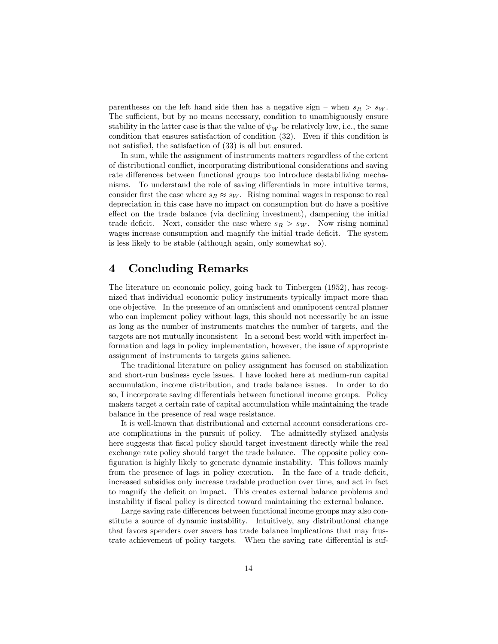parentheses on the left hand side then has a negative sign – when  $s_R > s_W$ . The sufficient, but by no means necessary, condition to unambiguously ensure stability in the latter case is that the value of  $\psi_W$  be relatively low, i.e., the same condition that ensures satisfaction of condition (32). Even if this condition is not satisfied, the satisfaction of  $(33)$  is all but ensured.

In sum, while the assignment of instruments matters regardless of the extent of distributional conáict, incorporating distributional considerations and saving rate differences between functional groups too introduce destabilizing mechanisms. To understand the role of saving differentials in more intuitive terms, consider first the case where  $s_R \approx s_W$ . Rising nominal wages in response to real depreciation in this case have no impact on consumption but do have a positive effect on the trade balance (via declining investment), dampening the initial trade deficit. Next, consider the case where  $s_R > s_W$ . Now rising nominal wages increase consumption and magnify the initial trade deficit. The system is less likely to be stable (although again, only somewhat so).

## 4 Concluding Remarks

The literature on economic policy, going back to Tinbergen (1952), has recognized that individual economic policy instruments typically impact more than one objective. In the presence of an omniscient and omnipotent central planner who can implement policy without lags, this should not necessarily be an issue as long as the number of instruments matches the number of targets, and the targets are not mutually inconsistent In a second best world with imperfect information and lags in policy implementation, however, the issue of appropriate assignment of instruments to targets gains salience.

The traditional literature on policy assignment has focused on stabilization and short-run business cycle issues. I have looked here at medium-run capital accumulation, income distribution, and trade balance issues. In order to do so, I incorporate saving differentials between functional income groups. Policy makers target a certain rate of capital accumulation while maintaining the trade balance in the presence of real wage resistance.

It is well-known that distributional and external account considerations create complications in the pursuit of policy. The admittedly stylized analysis here suggests that fiscal policy should target investment directly while the real exchange rate policy should target the trade balance. The opposite policy con-Öguration is highly likely to generate dynamic instability. This follows mainly from the presence of lags in policy execution. In the face of a trade deficit, increased subsidies only increase tradable production over time, and act in fact to magnify the deficit on impact. This creates external balance problems and instability if fiscal policy is directed toward maintaining the external balance.

Large saving rate differences between functional income groups may also constitute a source of dynamic instability. Intuitively, any distributional change that favors spenders over savers has trade balance implications that may frustrate achievement of policy targets. When the saving rate differential is suf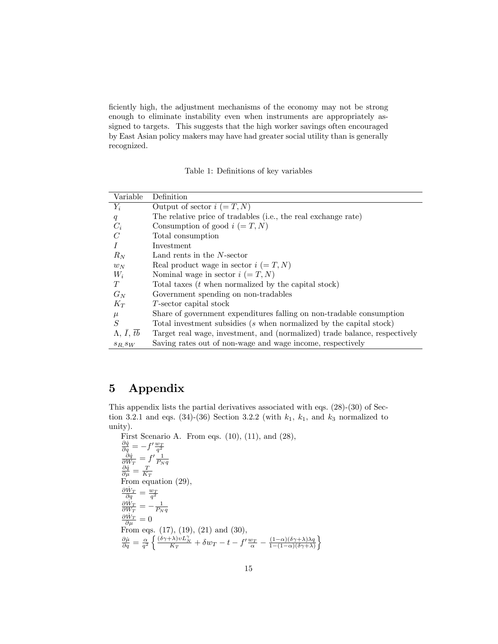ficiently high, the adjustment mechanisms of the economy may not be strong enough to eliminate instability even when instruments are appropriately assigned to targets. This suggests that the high worker savings often encouraged by East Asian policy makers may have had greater social utility than is generally recognized.

Table 1: Definitions of key variables

| Variable                           | Definition                                                                 |
|------------------------------------|----------------------------------------------------------------------------|
| $Y_i$                              | Output of sector $i (= T, N)$                                              |
| q                                  | The relative price of tradables (i.e., the real exchange rate)             |
| $C_i$                              | Consumption of good $i (= T, N)$                                           |
| $\mathcal C$                       | Total consumption                                                          |
|                                    | Investment                                                                 |
| $R_N$                              | Land rents in the N-sector                                                 |
| $w_N$                              | Real product wage in sector $i (= T, N)$                                   |
| $W_i$                              | Nominal wage in sector $i (= T, N)$                                        |
| T                                  | Total taxes $(t$ when normalized by the capital stock)                     |
| $G_N$                              | Government spending on non-tradables                                       |
| $K_T$                              | T-sector capital stock                                                     |
| $\mu$                              | Share of government expenditures falling on non-tradable consumption       |
| $\overline{S}$                     | Total investment subsidies $(s$ when normalized by the capital stock)      |
| $\Lambda, \bar{I}, \bar{t}\bar{b}$ | Target real wage, investment, and (normalized) trade balance, respectively |
| $s_R$ , $s_W$                      | Saving rates out of non-wage and wage income, respectively                 |

## 5 Appendix

This appendix lists the partial derivatives associated with eqs. (28)-(30) of Section 3.2.1 and eqs. (34)-(36) Section 3.2.2 (with  $k_1$ ,  $k_1$ , and  $k_3$  normalized to unity).

First Scenario A. From eqs. (10), (11), and (28),<br>  $\frac{\partial \dot{q}}{\partial q} = -f' \frac{w_T}{q^2}$ <br>  $\frac{\partial \dot{q}}{\partial W_T} = f' \frac{1}{P_N q}$ <br>  $\frac{\partial \dot{q}}{\partial \mu} = \frac{T}{K_T}$ <br>
From equation (29),  $\frac{\partial \dot{W}_T}{\partial q} = \frac{w_T}{q^2}$ <br>  $\frac{\partial \dot{W}_T}{\partial W_T} = -\frac{1}{P_N q}$ <br>  $\frac{\partial \dot{W}_T}{\partial \mu} = 0$ From eqs. (17), (19), (21) and (30),  $\frac{\partial \dot{\mu}}{\partial q} = \frac{\alpha}{q^2} \left\{ \frac{(\delta \gamma + \lambda)vL_N^{\gamma}}{K_T} + \delta w_T - t - f'\frac{w_T}{\alpha} - \frac{(1-\alpha)(\delta \gamma + \lambda)\lambda q}{1-(1-\alpha)(\delta \gamma + \lambda)} \right.$  $1-(1-\alpha)(\delta\gamma+\lambda)$  $\mathcal{L}$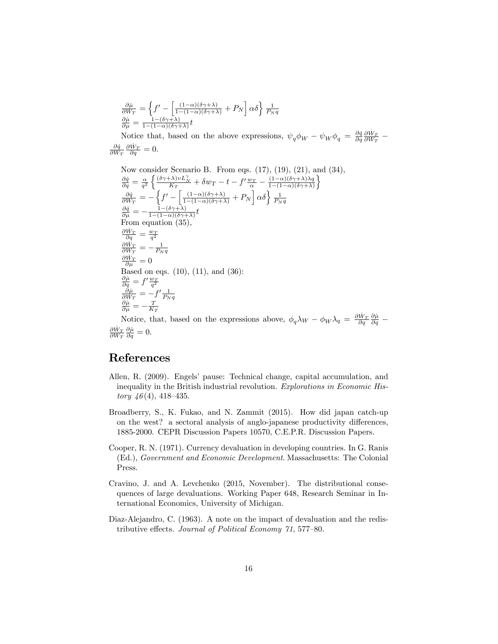$$
\frac{\partial \dot{\mu}}{\partial W_T} = \left\{ f' - \left[ \frac{(1-\alpha)(\delta \gamma + \lambda)}{1-(1-\alpha)(\delta \gamma + \lambda)} + P_N \right] \alpha \delta \right\} \frac{1}{P_N q}
$$
\n
$$
\frac{\partial \dot{\mu}}{\partial \mu} = \frac{1 - (\delta \gamma + \lambda)}{1 - (1-\alpha)(\delta \gamma + \lambda)} t
$$
\nNotice that, based on the above expressions,  $\psi_q \phi_W - \psi_W \phi_q = \frac{\partial \dot{q}}{\partial q} \frac{\partial \dot{W}_T}{\partial W_T} - \frac{\partial \dot{q}}{\partial W_T} \frac{\partial \dot{W}_T}{\partial q} = 0.$ 

Now consider Scenario B. From eqs. (17), (19), (21), and (34),  $\frac{\partial \dot{q}}{\partial q} = \frac{\alpha}{q^2} \left\{ \frac{(\delta \gamma + \lambda) v L_N^{\gamma}}{K_T} + \delta w_T - t - f' \frac{w_T}{\alpha} - \frac{(1-\alpha)(\delta \gamma + \lambda)\lambda q}{1-(1-\alpha)(\delta \gamma + \lambda)} \right.$  $1-(1-\alpha)(\delta\gamma+\lambda)$ o  $\frac{\partial \dot{q}}{\partial W_T} = -\left\{f' - \left[\frac{(1-\alpha)(\delta\gamma+\lambda)}{1-(1-\alpha)(\delta\gamma+\lambda)} + P_N\right]\alpha\delta\right\}\frac{1}{P_Nq}$  $\frac{\partial \dot{q}}{\partial \mu} = -\frac{1-(\delta \gamma + \lambda)}{1-(1-\alpha)(\delta \gamma + \mu)}$  $\frac{1-(\sigma\gamma+\lambda)}{1-(1-\alpha)(\delta\gamma+\lambda)}t$ From equation (35),  $\frac{\partial \dot{W}_T}{\partial q} = \frac{w_T}{q^2}$ <br>  $\frac{\partial \dot{W}_T}{\partial W_T} = -\frac{1}{P_N q}$ <br>  $\frac{\partial \dot{W}_T}{\partial \mu} = 0$ Based on eqs.  $(10)$ ,  $(11)$ , and  $(36)$ :  $\begin{array}{l} \frac{\partial \dot{\mu}}{\partial q} = f' \frac{w_T}{q^2} \ \frac{\partial \dot{\mu}}{\partial W_T} = - f' \frac{1}{P_N q} \ \frac{\partial \dot{\mu}}{\partial \mu} = - \frac{T}{K_T} \end{array}$ 

Notice, that, based on the expressions above,  $\phi_q \lambda_W - \phi_W \lambda_q = \frac{\partial \dot{W}_T}{\partial q} \frac{\partial \dot{\mu}}{\partial q}$  $\frac{\partial \dot{W}_T}{\partial W_T} \frac{\partial \dot{\mu}}{\partial q} = 0.$ 

## References

- Allen, R. (2009). Engels' pause: Technical change, capital accumulation, and inequality in the British industrial revolution. Explorations in Economic His*tory*  $46(4)$ ,  $418-435$ .
- Broadberry, S., K. Fukao, and N. Zammit (2015). How did japan catch-up on the west? a sectoral analysis of anglo-japanese productivity differences, 1885-2000. CEPR Discussion Papers 10570, C.E.P.R. Discussion Papers.
- Cooper, R. N. (1971). Currency devaluation in developing countries. In G. Ranis (Ed.), Government and Economic Development. Massachusetts: The Colonial Press.
- Cravino, J. and A. Levchenko (2015, November). The distributional consequences of large devaluations. Working Paper 648, Research Seminar in International Economics, University of Michigan.
- Diaz-Alejandro, C. (1963). A note on the impact of devaluation and the redistributive effects. Journal of Political Economy  $\gamma_1$ , 577–80.